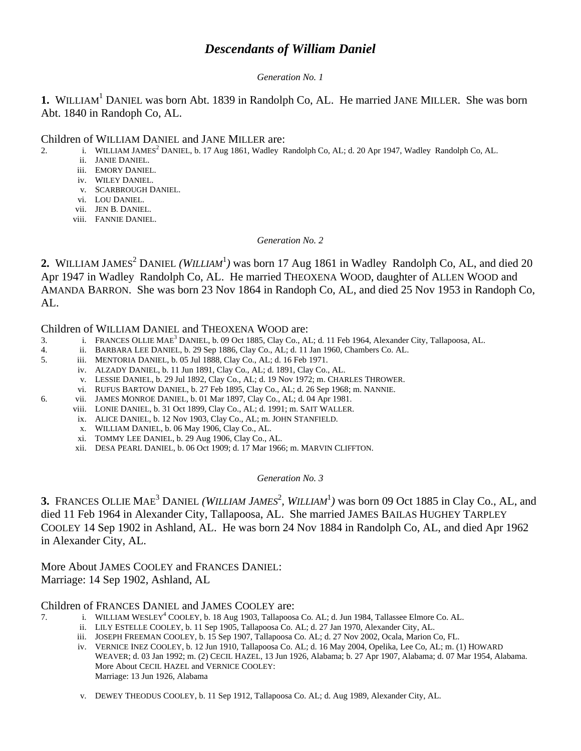# *Descendants of William Daniel*

## *Generation No. 1*

**1.** WILLIAM<sup>1</sup> DANIEL was born Abt. 1839 in Randolph Co, AL. He married JANE MILLER. She was born Abt. 1840 in Randoph Co, AL.

## Children of WILLIAM DANIEL and JANE MILLER are:

- 2. i. WILLIAM JAMES<sup>2</sup> DANIEL, b. 17 Aug 1861, Wadley Randolph Co, AL; d. 20 Apr 1947, Wadley Randolph Co, AL.
	- ii. JANIE DANIEL.
	- iii. EMORY DANIEL.
	- iv. WILEY DANIEL.
	- v. SCARBROUGH DANIEL.
	- vi. LOU DANIEL.
	- vii. JEN B. DANIEL.
	- viii. FANNIE DANIEL.

#### *Generation No. 2*

2. WILLIAM JAMES<sup>2</sup> DANIEL *(WILLIAM<sup>1</sup>)* was born 17 Aug 1861 in Wadley Randolph Co, AL, and died 20 Apr 1947 in Wadley Randolph Co, AL. He married THEOXENA WOOD, daughter of ALLEN WOOD and AMANDA BARRON. She was born 23 Nov 1864 in Randoph Co, AL, and died 25 Nov 1953 in Randoph Co, AL.

## Children of WILLIAM DANIEL and THEOXENA WOOD are:

- 3. i. FRANCES OLLIE MAE<sup>3</sup> DANIEL, b. 09 Oct 1885, Clay Co., AL; d. 11 Feb 1964, Alexander City, Tallapoosa, AL.
- 4. ii. BARBARA LEE DANIEL, b. 29 Sep 1886, Clay Co., AL; d. 11 Jan 1960, Chambers Co. AL.
- 5. iii. MENTORIA DANIEL, b. 05 Jul 1888, Clay Co., AL; d. 16 Feb 1971.
	- iv. ALZADY DANIEL, b. 11 Jun 1891, Clay Co., AL; d. 1891, Clay Co., AL.
		- v. LESSIE DANIEL, b. 29 Jul 1892, Clay Co., AL; d. 19 Nov 1972; m. CHARLES THROWER.
	- vi. RUFUS BARTOW DANIEL, b. 27 Feb 1895, Clay Co., AL; d. 26 Sep 1968; m. NANNIE.
- 6. vii. JAMES MONROE DANIEL, b. 01 Mar 1897, Clay Co., AL; d. 04 Apr 1981.
	- viii. LONIE DANIEL, b. 31 Oct 1899, Clay Co., AL; d. 1991; m. SAIT WALLER.
	- ix. ALICE DANIEL, b. 12 Nov 1903, Clay Co., AL; m. JOHN STANFIELD.
	- x. WILLIAM DANIEL, b. 06 May 1906, Clay Co., AL.
	- xi. TOMMY LEE DANIEL, b. 29 Aug 1906, Clay Co., AL.
	- xii. DESA PEARL DANIEL, b. 06 Oct 1909; d. 17 Mar 1966; m. MARVIN CLIFFTON.

## *Generation No. 3*

**3.** FRANCES OLLIE MAE<sup>3</sup> DANIEL *(WILLIAM JAMES<sup>2</sup>, WILLIAM*<sup>1</sup>) was born 09 Oct 1885 in Clay Co., AL, and died 11 Feb 1964 in Alexander City, Tallapoosa, AL. She married JAMES BAILAS HUGHEY TARPLEY COOLEY 14 Sep 1902 in Ashland, AL. He was born 24 Nov 1884 in Randolph Co, AL, and died Apr 1962 in Alexander City, AL.

More About JAMES COOLEY and FRANCES DANIEL: Marriage: 14 Sep 1902, Ashland, AL

## Children of FRANCES DANIEL and JAMES COOLEY are:

- 7. i. WILLIAM WESLEY<sup>4</sup> COOLEY, b. 18 Aug 1903, Tallapoosa Co. AL; d. Jun 1984, Tallassee Elmore Co. AL.
	- ii. LILY ESTELLE COOLEY, b. 11 Sep 1905, Tallapoosa Co. AL; d. 27 Jan 1970, Alexander City, AL.
	- iii. JOSEPH FREEMAN COOLEY, b. 15 Sep 1907, Tallapoosa Co. AL; d. 27 Nov 2002, Ocala, Marion Co, FL.
	- iv. VERNICE INEZ COOLEY, b. 12 Jun 1910, Tallapoosa Co. AL; d. 16 May 2004, Opelika, Lee Co, AL; m. (1) HOWARD WEAVER; d. 03 Jan 1992; m. (2) CECIL HAZEL, 13 Jun 1926, Alabama; b. 27 Apr 1907, Alabama; d. 07 Mar 1954, Alabama. More About CECIL HAZEL and VERNICE COOLEY: Marriage: 13 Jun 1926, Alabama
	- v. DEWEY THEODUS COOLEY, b. 11 Sep 1912, Tallapoosa Co. AL; d. Aug 1989, Alexander City, AL.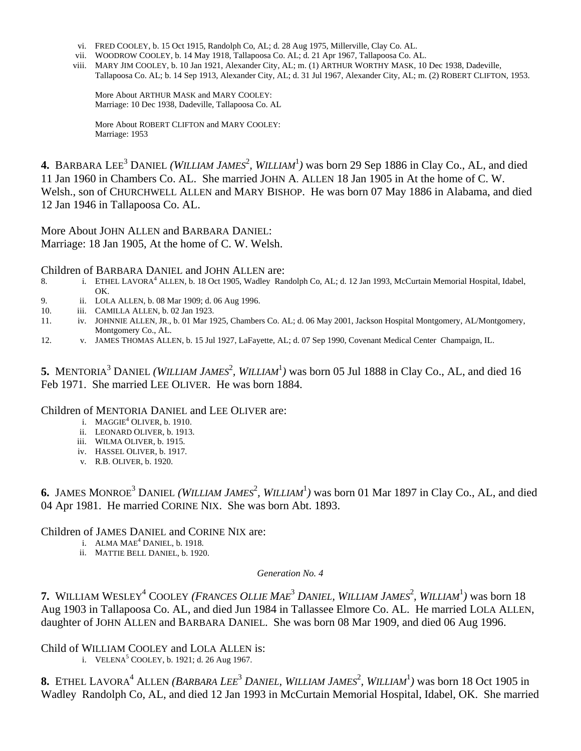- vi. FRED COOLEY, b. 15 Oct 1915, Randolph Co, AL; d. 28 Aug 1975, Millerville, Clay Co. AL.
- vii. WOODROW COOLEY, b. 14 May 1918, Tallapoosa Co. AL; d. 21 Apr 1967, Tallapoosa Co. AL.
- viii. MARY JIM COOLEY, b. 10 Jan 1921, Alexander City, AL; m. (1) ARTHUR WORTHY MASK, 10 Dec 1938, Dadeville, Tallapoosa Co. AL; b. 14 Sep 1913, Alexander City, AL; d. 31 Jul 1967, Alexander City, AL; m. (2) ROBERT CLIFTON, 1953.

More About ARTHUR MASK and MARY COOLEY: Marriage: 10 Dec 1938, Dadeville, Tallapoosa Co. AL

More About ROBERT CLIFTON and MARY COOLEY: Marriage: 1953

**4.** BARBARA LEE<sup>3</sup> DANIEL *(WILLIAM JAMES<sup>2</sup>, WILLIAM*<sup>1</sup>) was born 29 Sep 1886 in Clay Co., AL, and died 11 Jan 1960 in Chambers Co. AL. She married JOHN A. ALLEN 18 Jan 1905 in At the home of C. W. Welsh., son of CHURCHWELL ALLEN and MARY BISHOP. He was born 07 May 1886 in Alabama, and died 12 Jan 1946 in Tallapoosa Co. AL.

More About JOHN ALLEN and BARBARA DANIEL: Marriage: 18 Jan 1905, At the home of C. W. Welsh.

Children of BARBARA DANIEL and JOHN ALLEN are:

- 8. i. ETHEL LAVORA<sup>4</sup> ALLEN, b. 18 Oct 1905, Wadley Randolph Co, AL; d. 12 Jan 1993, McCurtain Memorial Hospital, Idabel, OK.
- 9. ii. LOLA ALLEN, b. 08 Mar 1909; d. 06 Aug 1996.
- 10. iii. CAMILLA ALLEN, b. 02 Jan 1923.
- 11. iv. JOHNNIE ALLEN, JR., b. 01 Mar 1925, Chambers Co. AL; d. 06 May 2001, Jackson Hospital Montgomery, AL/Montgomery, Montgomery Co., AL.
- 12. v. JAMES THOMAS ALLEN, b. 15 Jul 1927, LaFayette, AL; d. 07 Sep 1990, Covenant Medical Center Champaign, IL.

5. MENTORIA<sup>3</sup> DANIEL *(WILLIAM JAMES<sup>2</sup>, WILLIAM<sup>1</sup>)* was born 05 Jul 1888 in Clay Co., AL, and died 16 Feb 1971. She married LEE OLIVER. He was born 1884.

Children of MENTORIA DANIEL and LEE OLIVER are:

- i.  $MAGGIE<sup>4</sup> OLIVER, b. 1910.$ 
	- ii. LEONARD OLIVER, b. 1913.
	- iii. WILMA OLIVER, b. 1915.
	- iv. HASSEL OLIVER, b. 1917.
	- v. R.B. OLIVER, b. 1920.

**6.** JAMES MONROE<sup>3</sup> DANIEL *(WILLIAM JAMES<sup>2</sup>, WILLIAM*<sup>1</sup>) was born 01 Mar 1897 in Clay Co., AL, and died 04 Apr 1981. He married CORINE NIX. She was born Abt. 1893.

Children of JAMES DANIEL and CORINE NIX are:

- i. ALMA  $MAE<sup>4</sup>$  DANIEL, b. 1918.
	- ii. MATTIE BELL DANIEL, b. 1920.

*Generation No. 4*

**7.** WILLIAM WESLEY<sup>4</sup> COOLEY (FRANCES OLLIE MAE<sup>3</sup> DANIEL, WILLIAM JAMES<sup>2</sup>, WILLIAM<sup>1</sup>) was born 18 Aug 1903 in Tallapoosa Co. AL, and died Jun 1984 in Tallassee Elmore Co. AL. He married LOLA ALLEN, daughter of JOHN ALLEN and BARBARA DANIEL. She was born 08 Mar 1909, and died 06 Aug 1996.

Child of WILLIAM COOLEY and LOLA ALLEN is:

i. VELENA<sup>5</sup> COOLEY, b. 1921; d. 26 Aug 1967.

8. ETHEL LAVORA<sup>4</sup> ALLEN (BARBARA LEE<sup>3</sup> DANIEL, WILLIAM JAMES<sup>2</sup>, WILLIAM<sup>1</sup>) was born 18 Oct 1905 in Wadley Randolph Co, AL, and died 12 Jan 1993 in McCurtain Memorial Hospital, Idabel, OK. She married